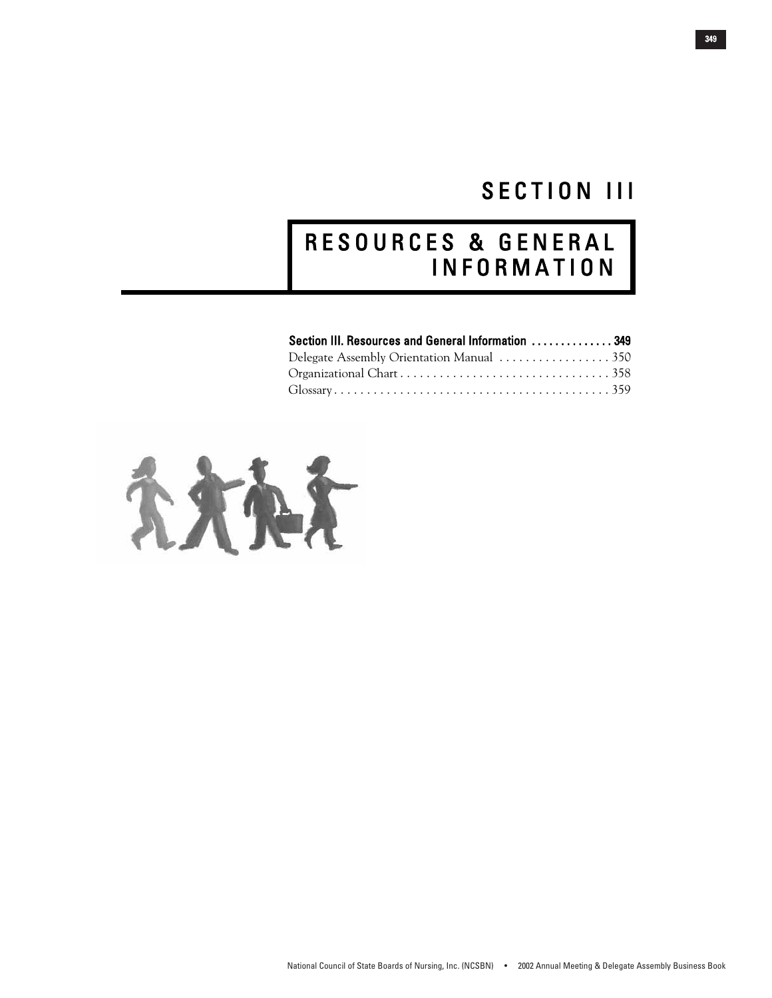# SECTION III

# R E S O U R C E S & G E N E R A L I N F O R M A T I O N

| Section III. Resources and General Information  349 |  |
|-----------------------------------------------------|--|
| Delegate Assembly Orientation Manual 350            |  |
|                                                     |  |
|                                                     |  |

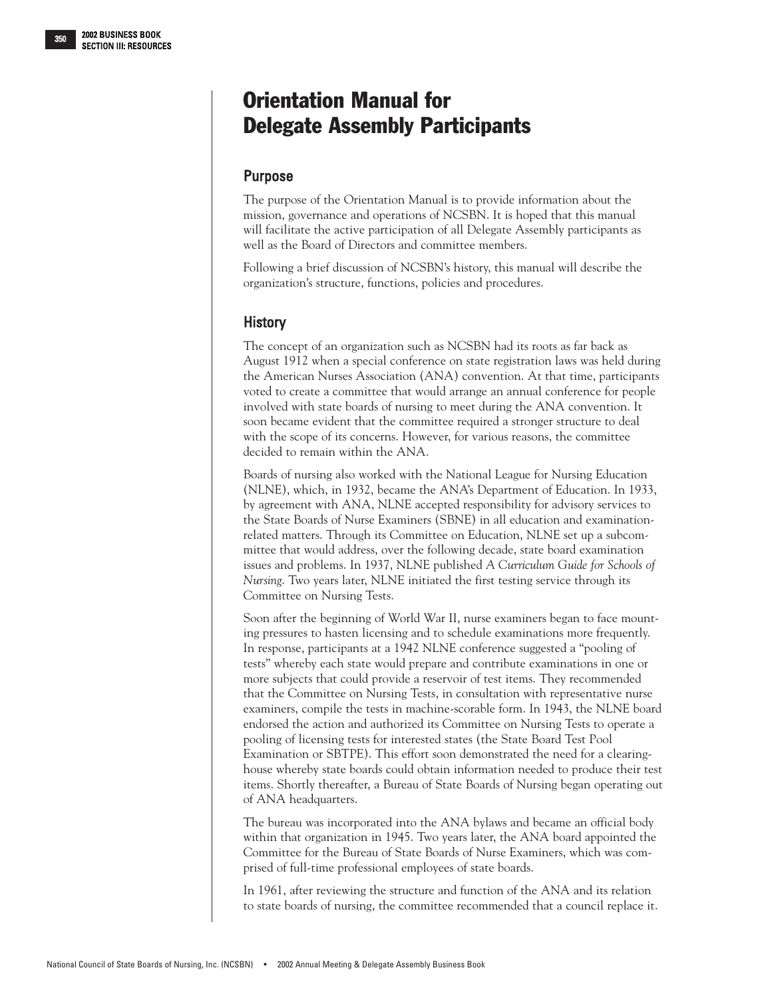# <span id="page-1-0"></span>Orientation Manual for Delegate Assembly Participants

# Purpose

The purpose of the Orientation Manual is to provide information about the mission, governance and operations of NCSBN. It is hoped that this manual will facilitate the active participation of all Delegate Assembly participants as well as the Board of Directors and committee members.

Following a brief discussion of NCSBN's history, this manual will describe the organization's structure, functions, policies and procedures.

# **History**

The concept of an organization such as NCSBN had its roots as far back as August 1912 when a special conference on state registration laws was held during the American Nurses Association (ANA) convention. At that time, participants voted to create a committee that would arrange an annual conference for people involved with state boards of nursing to meet during the ANA convention. It soon became evident that the committee required a stronger structure to deal with the scope of its concerns. However, for various reasons, the committee decided to remain within the ANA.

Boards of nursing also worked with the National League for Nursing Education (NLNE), which, in 1932, became the ANA's Department of Education. In 1933, by agreement with ANA, NLNE accepted responsibility for advisory services to the State Boards of Nurse Examiners (SBNE) in all education and examinationrelated matters. Through its Committee on Education, NLNE set up a subcommittee that would address, over the following decade, state board examination issues and problems. In 1937, NLNE published *A Curriculum Guide for Schools of Nursing*. Two years later, NLNE initiated the first testing service through its Committee on Nursing Tests.

Soon after the beginning of World War II, nurse examiners began to face mounting pressures to hasten licensing and to schedule examinations more frequently. In response, participants at a 1942 NLNE conference suggested a "pooling of tests" whereby each state would prepare and contribute examinations in one or more subjects that could provide a reservoir of test items. They recommended that the Committee on Nursing Tests, in consultation with representative nurse examiners, compile the tests in machine-scorable form. In 1943, the NLNE board endorsed the action and authorized its Committee on Nursing Tests to operate a pooling of licensing tests for interested states (the State Board Test Pool Examination or SBTPE). This effort soon demonstrated the need for a clearinghouse whereby state boards could obtain information needed to produce their test items. Shortly thereafter, a Bureau of State Boards of Nursing began operating out of ANA headquarters.

The bureau was incorporated into the ANA bylaws and became an official body within that organization in 1945. Two years later, the ANA board appointed the Committee for the Bureau of State Boards of Nurse Examiners, which was comprised of full-time professional employees of state boards.

In 1961, after reviewing the structure and function of the ANA and its relation to state boards of nursing, the committee recommended that a council replace it.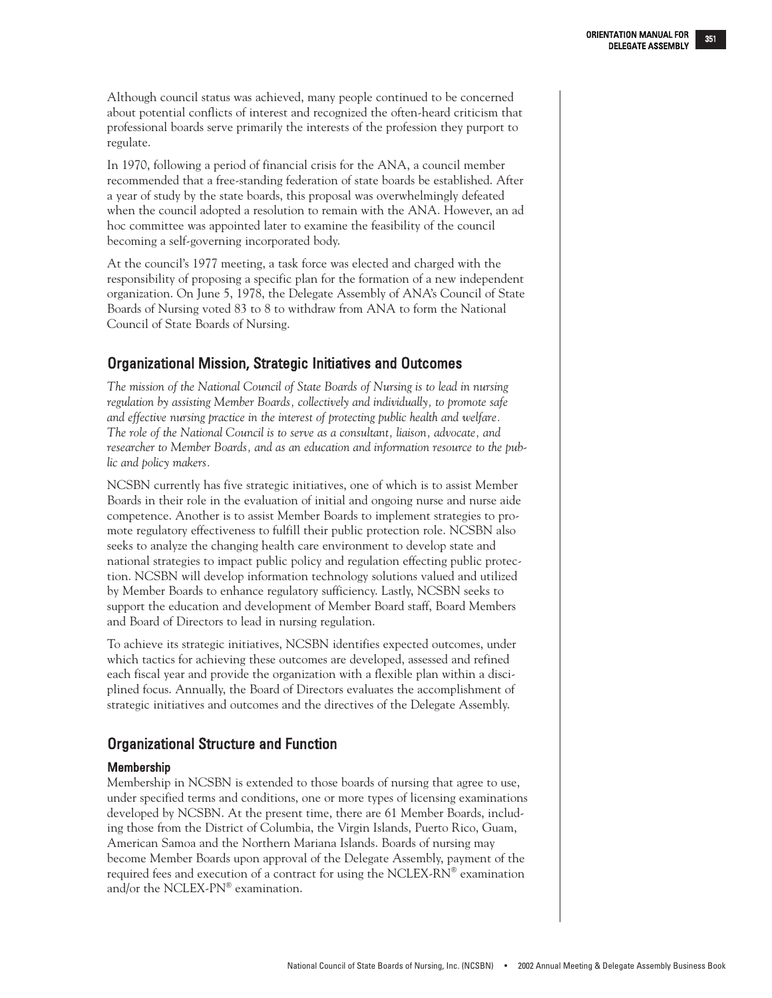Although council status was achieved, many people continued to be concerned about potential conflicts of interest and recognized the often-heard criticism that professional boards serve primarily the interests of the profession they purport to regulate.

In 1970, following a period of financial crisis for the ANA, a council member recommended that a free-standing federation of state boards be established. After a year of study by the state boards, this proposal was overwhelmingly defeated when the council adopted a resolution to remain with the ANA. However, an ad hoc committee was appointed later to examine the feasibility of the council becoming a self-governing incorporated body.

At the council's 1977 meeting, a task force was elected and charged with the responsibility of proposing a specific plan for the formation of a new independent organization. On June 5, 1978, the Delegate Assembly of ANA's Council of State Boards of Nursing voted 83 to 8 to withdraw from ANA to form the National Council of State Boards of Nursing.

## Organizational Mission, Strategic Initiatives and Outcomes

*The mission of the National Council of State Boards of Nursing is to lead in nursing regulation by assisting Member Boards, collectively and individually, to promote safe and effective nursing practice in the interest of protecting public health and welfare. The role of the National Council is to serve as a consultant, liaison, advocate, and researcher to Member Boards, and as an education and information resource to the public and policy makers.*

NCSBN currently has five strategic initiatives, one of which is to assist Member Boards in their role in the evaluation of initial and ongoing nurse and nurse aide competence. Another is to assist Member Boards to implement strategies to promote regulatory effectiveness to fulfill their public protection role. NCSBN also seeks to analyze the changing health care environment to develop state and national strategies to impact public policy and regulation effecting public protection. NCSBN will develop information technology solutions valued and utilized by Member Boards to enhance regulatory sufficiency. Lastly, NCSBN seeks to support the education and development of Member Board staff, Board Members and Board of Directors to lead in nursing regulation.

To achieve its strategic initiatives, NCSBN identifies expected outcomes, under which tactics for achieving these outcomes are developed, assessed and refined each fiscal year and provide the organization with a flexible plan within a disciplined focus. Annually, the Board of Directors evaluates the accomplishment of strategic initiatives and outcomes and the directives of the Delegate Assembly.

# Organizational Structure and Function

## Membership

Membership in NCSBN is extended to those boards of nursing that agree to use, under specified terms and conditions, one or more types of licensing examinations developed by NCSBN. At the present time, there are 61 Member Boards, including those from the District of Columbia, the Virgin Islands, Puerto Rico, Guam, American Samoa and the Northern Mariana Islands. Boards of nursing may become Member Boards upon approval of the Delegate Assembly, payment of the required fees and execution of a contract for using the NCLEX-RN® examination and/or the NCLEX-PN® examination.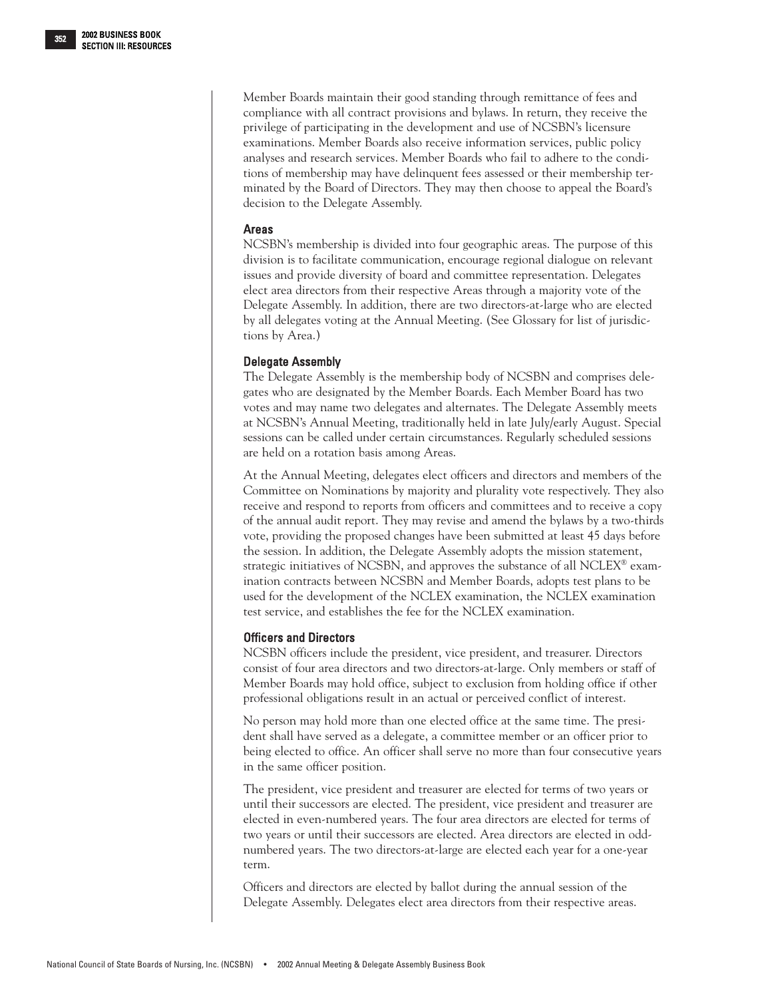Member Boards maintain their good standing through remittance of fees and compliance with all contract provisions and bylaws. In return, they receive the privilege of participating in the development and use of NCSBN's licensure examinations. Member Boards also receive information services, public policy analyses and research services. Member Boards who fail to adhere to the conditions of membership may have delinquent fees assessed or their membership terminated by the Board of Directors. They may then choose to appeal the Board's decision to the Delegate Assembly.

## Areas

NCSBN's membership is divided into four geographic areas. The purpose of this division is to facilitate communication, encourage regional dialogue on relevant issues and provide diversity of board and committee representation. Delegates elect area directors from their respective Areas through a majority vote of the Delegate Assembly. In addition, there are two directors-at-large who are elected by all delegates voting at the Annual Meeting. (See Glossary for list of jurisdictions by Area.)

## Delegate Assembly

The Delegate Assembly is the membership body of NCSBN and comprises delegates who are designated by the Member Boards. Each Member Board has two votes and may name two delegates and alternates. The Delegate Assembly meets at NCSBN's Annual Meeting, traditionally held in late July/early August. Special sessions can be called under certain circumstances. Regularly scheduled sessions are held on a rotation basis among Areas.

At the Annual Meeting, delegates elect officers and directors and members of the Committee on Nominations by majority and plurality vote respectively. They also receive and respond to reports from officers and committees and to receive a copy of the annual audit report. They may revise and amend the bylaws by a two-thirds vote, providing the proposed changes have been submitted at least 45 days before the session. In addition, the Delegate Assembly adopts the mission statement, strategic initiatives of NCSBN, and approves the substance of all NCLEX® examination contracts between NCSBN and Member Boards, adopts test plans to be used for the development of the NCLEX examination, the NCLEX examination test service, and establishes the fee for the NCLEX examination.

## Officers and Directors

NCSBN officers include the president, vice president, and treasurer. Directors consist of four area directors and two directors-at-large. Only members or staff of Member Boards may hold office, subject to exclusion from holding office if other professional obligations result in an actual or perceived conflict of interest.

No person may hold more than one elected office at the same time. The president shall have served as a delegate, a committee member or an officer prior to being elected to office. An officer shall serve no more than four consecutive years in the same officer position.

The president, vice president and treasurer are elected for terms of two years or until their successors are elected. The president, vice president and treasurer are elected in even-numbered years. The four area directors are elected for terms of two years or until their successors are elected. Area directors are elected in oddnumbered years. The two directors-at-large are elected each year for a one-year term.

Officers and directors are elected by ballot during the annual session of the Delegate Assembly. Delegates elect area directors from their respective areas.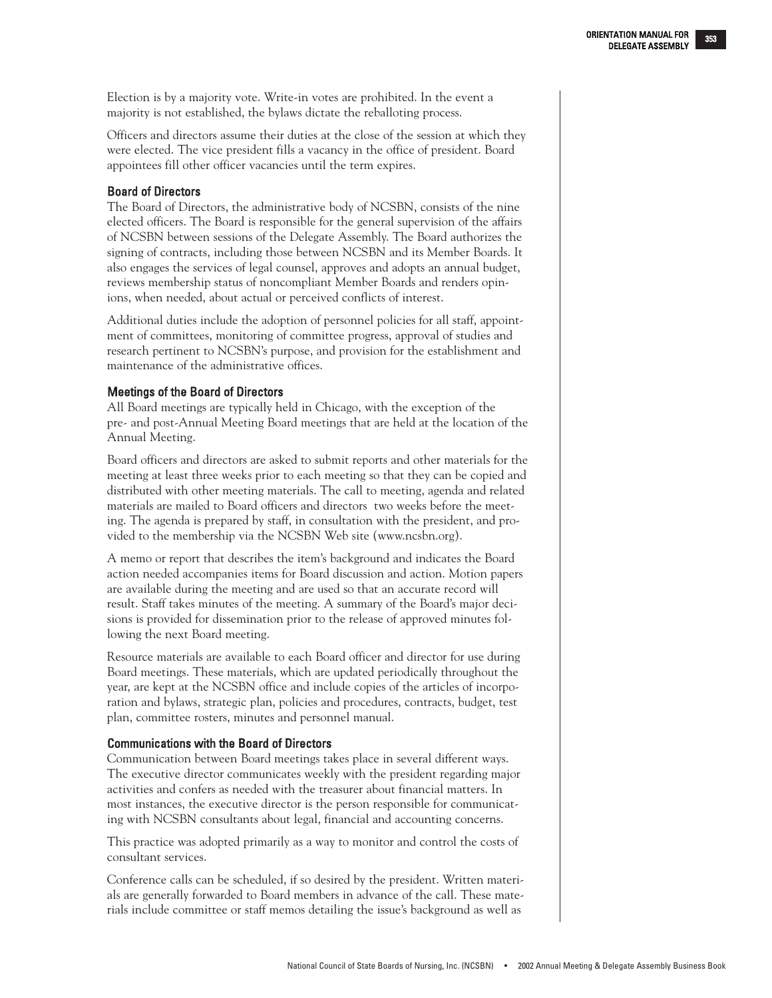Election is by a majority vote. Write-in votes are prohibited. In the event a majority is not established, the bylaws dictate the reballoting process.

Officers and directors assume their duties at the close of the session at which they were elected. The vice president fills a vacancy in the office of president. Board appointees fill other officer vacancies until the term expires.

## Board of Directors

The Board of Directors, the administrative body of NCSBN, consists of the nine elected officers. The Board is responsible for the general supervision of the affairs of NCSBN between sessions of the Delegate Assembly. The Board authorizes the signing of contracts, including those between NCSBN and its Member Boards. It also engages the services of legal counsel, approves and adopts an annual budget, reviews membership status of noncompliant Member Boards and renders opinions, when needed, about actual or perceived conflicts of interest.

Additional duties include the adoption of personnel policies for all staff, appointment of committees, monitoring of committee progress, approval of studies and research pertinent to NCSBN's purpose, and provision for the establishment and maintenance of the administrative offices.

## Meetings of the Board of Directors

All Board meetings are typically held in Chicago, with the exception of the pre- and post-Annual Meeting Board meetings that are held at the location of the Annual Meeting.

Board officers and directors are asked to submit reports and other materials for the meeting at least three weeks prior to each meeting so that they can be copied and distributed with other meeting materials. The call to meeting, agenda and related materials are mailed to Board officers and directors two weeks before the meeting. The agenda is prepared by staff, in consultation with the president, and provided to the membership via the NCSBN Web site (www.ncsbn.org).

A memo or report that describes the item's background and indicates the Board action needed accompanies items for Board discussion and action. Motion papers are available during the meeting and are used so that an accurate record will result. Staff takes minutes of the meeting. A summary of the Board's major decisions is provided for dissemination prior to the release of approved minutes following the next Board meeting.

Resource materials are available to each Board officer and director for use during Board meetings. These materials, which are updated periodically throughout the year, are kept at the NCSBN office and include copies of the articles of incorporation and bylaws, strategic plan, policies and procedures, contracts, budget, test plan, committee rosters, minutes and personnel manual.

## Communications with the Board of Directors

Communication between Board meetings takes place in several different ways. The executive director communicates weekly with the president regarding major activities and confers as needed with the treasurer about financial matters. In most instances, the executive director is the person responsible for communicating with NCSBN consultants about legal, financial and accounting concerns.

This practice was adopted primarily as a way to monitor and control the costs of consultant services.

Conference calls can be scheduled, if so desired by the president. Written materials are generally forwarded to Board members in advance of the call. These materials include committee or staff memos detailing the issue's background as well as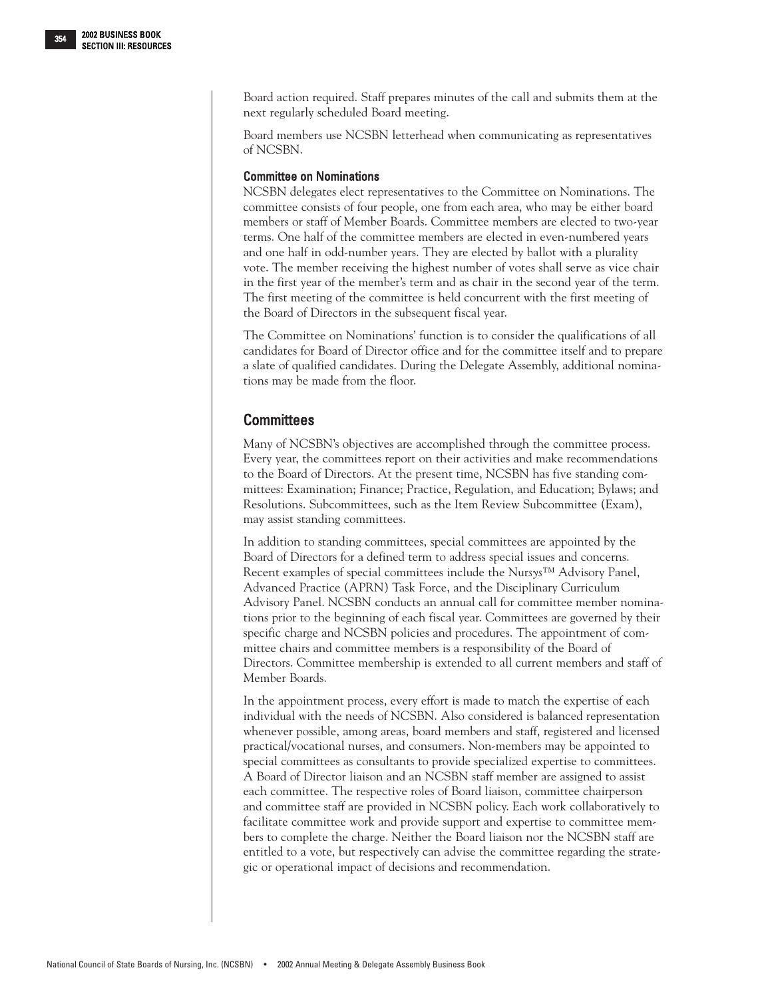Board action required. Staff prepares minutes of the call and submits them at the next regularly scheduled Board meeting.

Board members use NCSBN letterhead when communicating as representatives of NCSBN.

## Committee on Nominations

NCSBN delegates elect representatives to the Committee on Nominations. The committee consists of four people, one from each area, who may be either board members or staff of Member Boards. Committee members are elected to two-year terms. One half of the committee members are elected in even-numbered years and one half in odd-number years. They are elected by ballot with a plurality vote. The member receiving the highest number of votes shall serve as vice chair in the first year of the member's term and as chair in the second year of the term. The first meeting of the committee is held concurrent with the first meeting of the Board of Directors in the subsequent fiscal year.

The Committee on Nominations' function is to consider the qualifications of all candidates for Board of Director office and for the committee itself and to prepare a slate of qualified candidates. During the Delegate Assembly, additional nominations may be made from the floor.

## **Committees**

Many of NCSBN's objectives are accomplished through the committee process. Every year, the committees report on their activities and make recommendations to the Board of Directors. At the present time, NCSBN has five standing committees: Examination; Finance; Practice, Regulation, and Education; Bylaws; and Resolutions. Subcommittees, such as the Item Review Subcommittee (Exam), may assist standing committees.

In addition to standing committees, special committees are appointed by the Board of Directors for a defined term to address special issues and concerns. Recent examples of special committees include the Nur*sys™* Advisory Panel, Advanced Practice (APRN) Task Force, and the Disciplinary Curriculum Advisory Panel. NCSBN conducts an annual call for committee member nominations prior to the beginning of each fiscal year. Committees are governed by their specific charge and NCSBN policies and procedures. The appointment of committee chairs and committee members is a responsibility of the Board of Directors. Committee membership is extended to all current members and staff of Member Boards.

In the appointment process, every effort is made to match the expertise of each individual with the needs of NCSBN. Also considered is balanced representation whenever possible, among areas, board members and staff, registered and licensed practical/vocational nurses, and consumers. Non-members may be appointed to special committees as consultants to provide specialized expertise to committees. A Board of Director liaison and an NCSBN staff member are assigned to assist each committee. The respective roles of Board liaison, committee chairperson and committee staff are provided in NCSBN policy. Each work collaboratively to facilitate committee work and provide support and expertise to committee members to complete the charge. Neither the Board liaison nor the NCSBN staff are entitled to a vote, but respectively can advise the committee regarding the strategic or operational impact of decisions and recommendation.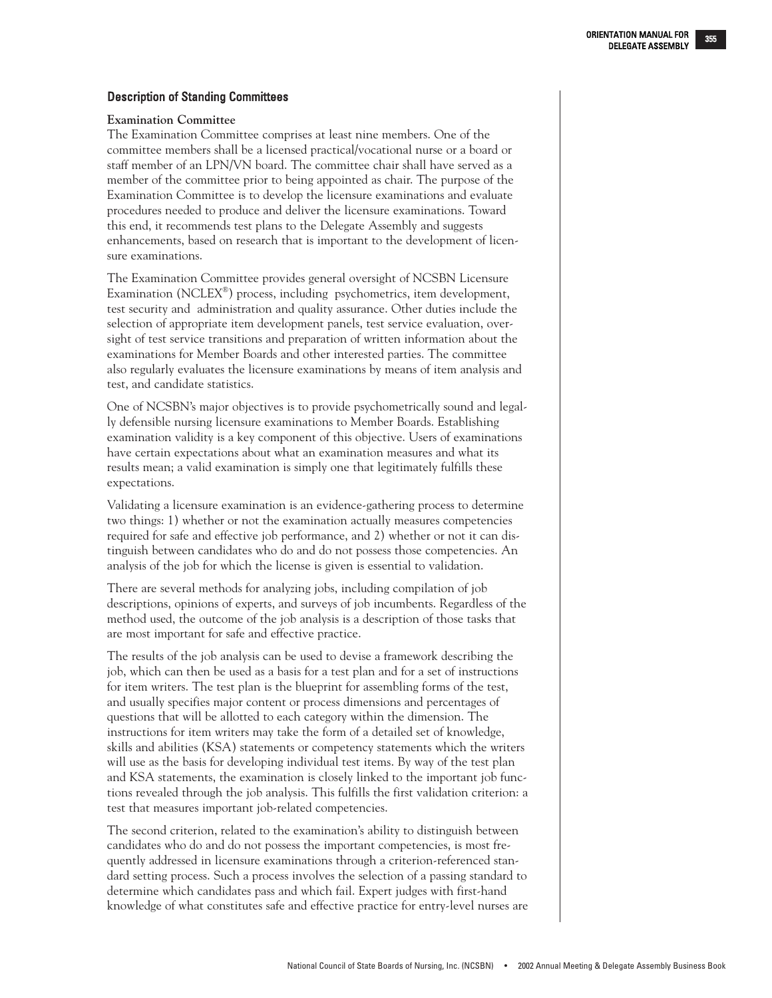National Council of State Boards of Nursing, Inc. (NCSBN) • 2002 Annual Meeting & Delegate Assembly Business Book

## Description of Standing Committees

## **Examination Committee**

The Examination Committee comprises at least nine members. One of the committee members shall be a licensed practical/vocational nurse or a board or staff member of an LPN/VN board. The committee chair shall have served as a member of the committee prior to being appointed as chair. The purpose of the Examination Committee is to develop the licensure examinations and evaluate procedures needed to produce and deliver the licensure examinations. Toward this end, it recommends test plans to the Delegate Assembly and suggests enhancements, based on research that is important to the development of licensure examinations.

The Examination Committee provides general oversight of NCSBN Licensure Examination (NCLEX®) process, including psychometrics, item development, test security and administration and quality assurance. Other duties include the selection of appropriate item development panels, test service evaluation, oversight of test service transitions and preparation of written information about the examinations for Member Boards and other interested parties. The committee also regularly evaluates the licensure examinations by means of item analysis and test, and candidate statistics.

One of NCSBN's major objectives is to provide psychometrically sound and legally defensible nursing licensure examinations to Member Boards. Establishing examination validity is a key component of this objective. Users of examinations have certain expectations about what an examination measures and what its results mean; a valid examination is simply one that legitimately fulfills these expectations.

Validating a licensure examination is an evidence-gathering process to determine two things: 1) whether or not the examination actually measures competencies required for safe and effective job performance, and 2) whether or not it can distinguish between candidates who do and do not possess those competencies. An analysis of the job for which the license is given is essential to validation.

There are several methods for analyzing jobs, including compilation of job descriptions, opinions of experts, and surveys of job incumbents. Regardless of the method used, the outcome of the job analysis is a description of those tasks that are most important for safe and effective practice.

The results of the job analysis can be used to devise a framework describing the job, which can then be used as a basis for a test plan and for a set of instructions for item writers. The test plan is the blueprint for assembling forms of the test, and usually specifies major content or process dimensions and percentages of questions that will be allotted to each category within the dimension. The instructions for item writers may take the form of a detailed set of knowledge, skills and abilities (KSA) statements or competency statements which the writers will use as the basis for developing individual test items. By way of the test plan and KSA statements, the examination is closely linked to the important job functions revealed through the job analysis. This fulfills the first validation criterion: a test that measures important job-related competencies.

The second criterion, related to the examination's ability to distinguish between candidates who do and do not possess the important competencies, is most frequently addressed in licensure examinations through a criterion-referenced standard setting process. Such a process involves the selection of a passing standard to determine which candidates pass and which fail. Expert judges with first-hand knowledge of what constitutes safe and effective practice for entry-level nurses are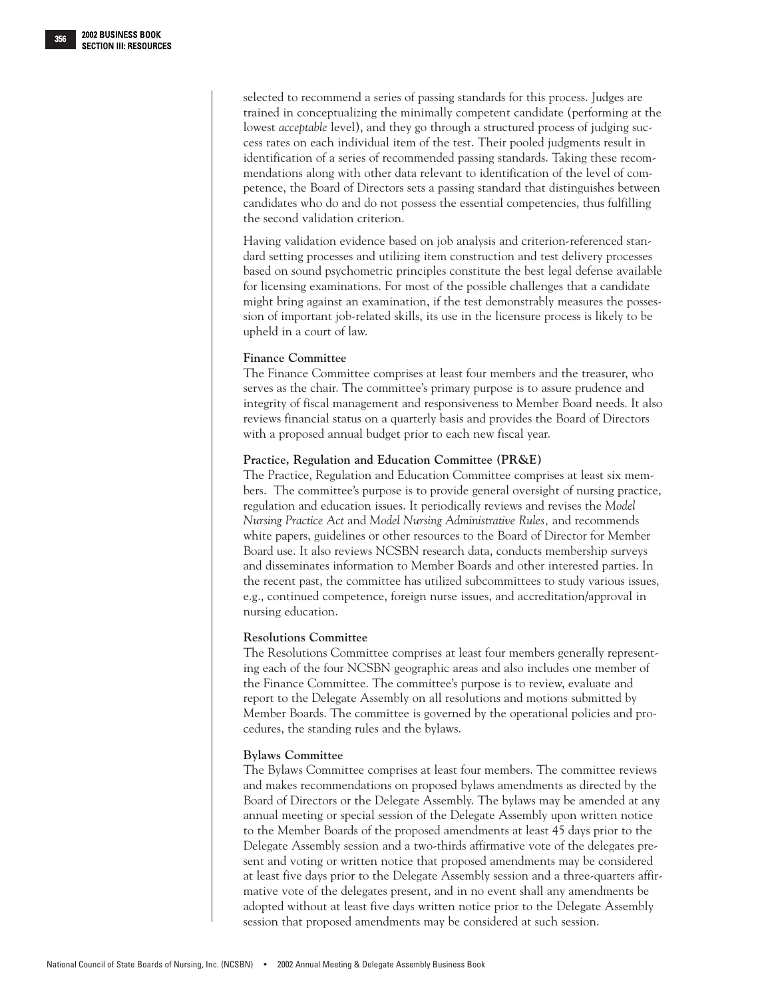selected to recommend a series of passing standards for this process. Judges are trained in conceptualizing the minimally competent candidate (performing at the lowest *acceptable* level), and they go through a structured process of judging success rates on each individual item of the test. Their pooled judgments result in identification of a series of recommended passing standards. Taking these recommendations along with other data relevant to identification of the level of competence, the Board of Directors sets a passing standard that distinguishes between candidates who do and do not possess the essential competencies, thus fulfilling the second validation criterion.

Having validation evidence based on job analysis and criterion-referenced standard setting processes and utilizing item construction and test delivery processes based on sound psychometric principles constitute the best legal defense available for licensing examinations. For most of the possible challenges that a candidate might bring against an examination, if the test demonstrably measures the possession of important job-related skills, its use in the licensure process is likely to be upheld in a court of law.

## **Finance Committee**

The Finance Committee comprises at least four members and the treasurer, who serves as the chair. The committee's primary purpose is to assure prudence and integrity of fiscal management and responsiveness to Member Board needs. It also reviews financial status on a quarterly basis and provides the Board of Directors with a proposed annual budget prior to each new fiscal year.

## **Practice, Regulation and Education Committee (PR&E)**

The Practice, Regulation and Education Committee comprises at least six members. The committee's purpose is to provide general oversight of nursing practice, regulation and education issues. It periodically reviews and revises the *Model Nursing Practice Act* and *Model Nursing Administrative Rules,* and recommends white papers, guidelines or other resources to the Board of Director for Member Board use. It also reviews NCSBN research data, conducts membership surveys and disseminates information to Member Boards and other interested parties. In the recent past, the committee has utilized subcommittees to study various issues, e.g., continued competence, foreign nurse issues, and accreditation/approval in nursing education.

## **Resolutions Committee**

The Resolutions Committee comprises at least four members generally representing each of the four NCSBN geographic areas and also includes one member of the Finance Committee. The committee's purpose is to review, evaluate and report to the Delegate Assembly on all resolutions and motions submitted by Member Boards. The committee is governed by the operational policies and procedures, the standing rules and the bylaws.

## **Bylaws Committee**

The Bylaws Committee comprises at least four members. The committee reviews and makes recommendations on proposed bylaws amendments as directed by the Board of Directors or the Delegate Assembly. The bylaws may be amended at any annual meeting or special session of the Delegate Assembly upon written notice to the Member Boards of the proposed amendments at least 45 days prior to the Delegate Assembly session and a two-thirds affirmative vote of the delegates present and voting or written notice that proposed amendments may be considered at least five days prior to the Delegate Assembly session and a three-quarters affirmative vote of the delegates present, and in no event shall any amendments be adopted without at least five days written notice prior to the Delegate Assembly session that proposed amendments may be considered at such session.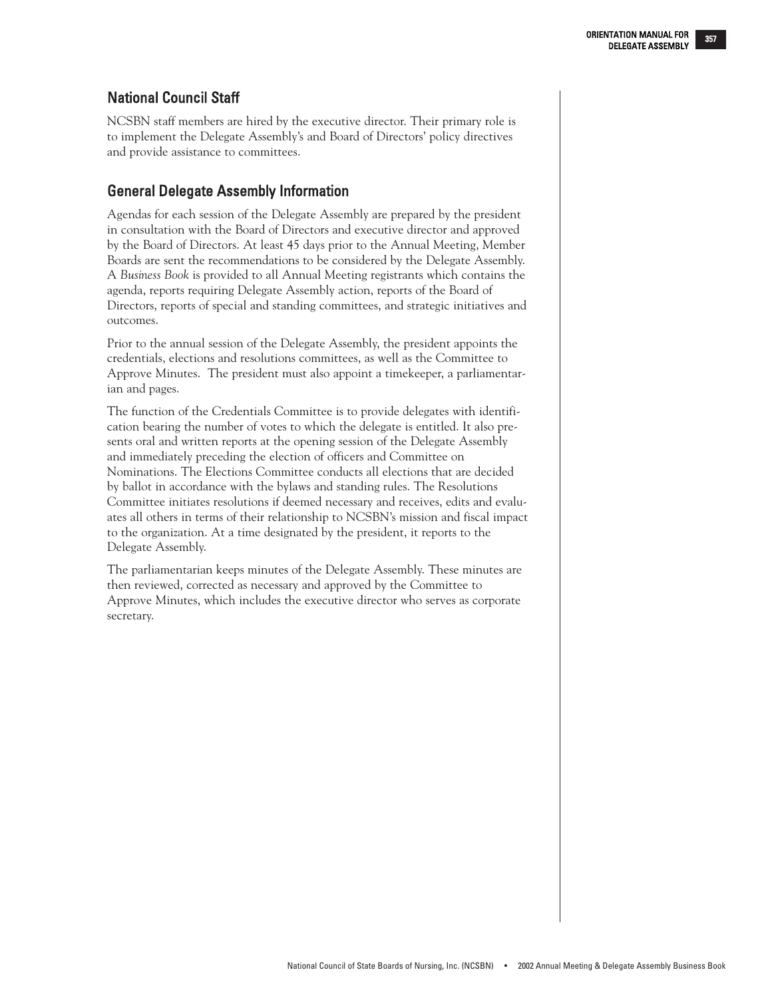## National Council Staff

NCSBN staff members are hired by the executive director. Their primary role is to implement the Delegate Assembly's and Board of Directors' policy directives and provide assistance to committees.

## General Delegate Assembly Information

Agendas for each session of the Delegate Assembly are prepared by the president in consultation with the Board of Directors and executive director and approved by the Board of Directors. At least 45 days prior to the Annual Meeting, Member Boards are sent the recommendations to be considered by the Delegate Assembly. A *Business Book* is provided to all Annual Meeting registrants which contains the agenda, reports requiring Delegate Assembly action, reports of the Board of Directors, reports of special and standing committees, and strategic initiatives and outcomes.

Prior to the annual session of the Delegate Assembly, the president appoints the credentials, elections and resolutions committees, as well as the Committee to Approve Minutes. The president must also appoint a timekeeper, a parliamentarian and pages.

The function of the Credentials Committee is to provide delegates with identification bearing the number of votes to which the delegate is entitled. It also presents oral and written reports at the opening session of the Delegate Assembly and immediately preceding the election of officers and Committee on Nominations. The Elections Committee conducts all elections that are decided by ballot in accordance with the bylaws and standing rules. The Resolutions Committee initiates resolutions if deemed necessary and receives, edits and evaluates all others in terms of their relationship to NCSBN's mission and fiscal impact to the organization. At a time designated by the president, it reports to the Delegate Assembly.

The parliamentarian keeps minutes of the Delegate Assembly. These minutes are then reviewed, corrected as necessary and approved by the Committee to Approve Minutes, which includes the executive director who serves as corporate secretary.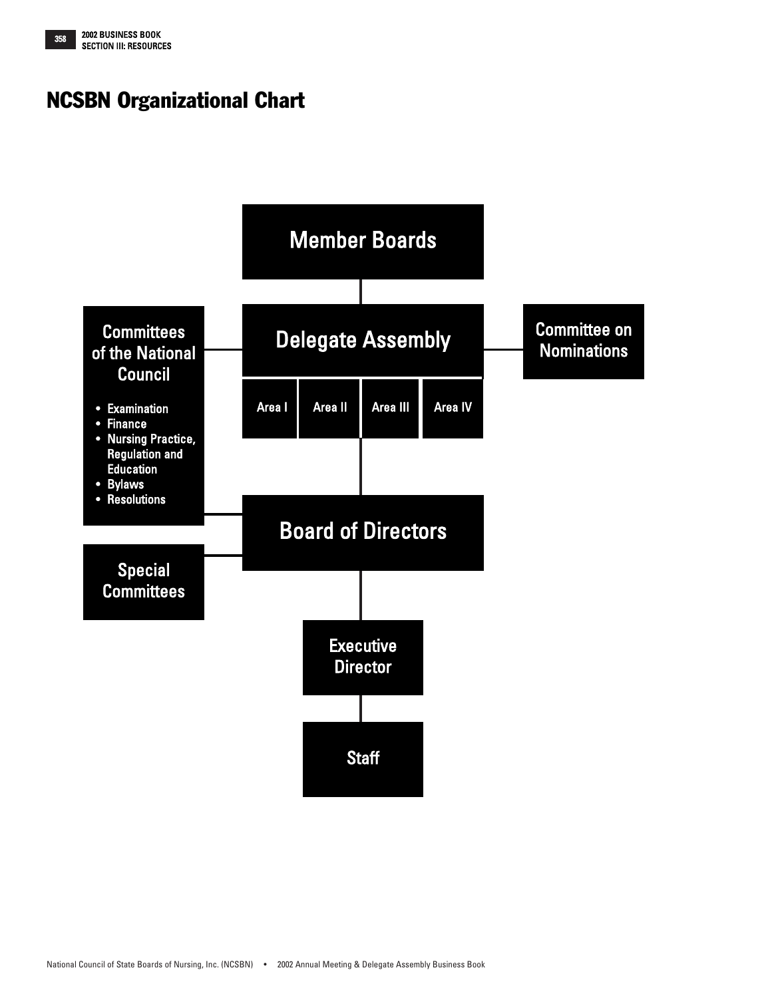<span id="page-9-0"></span>

# NCSBN Organizational Chart

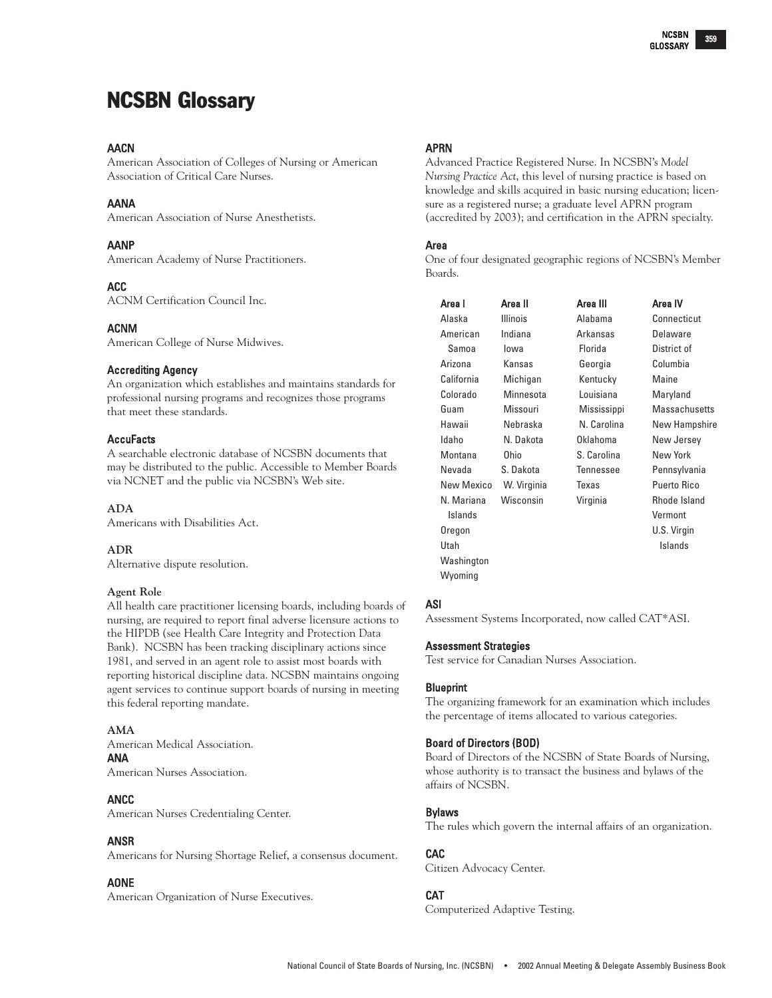# <span id="page-10-0"></span>NCSBN Glossary

## **AACN**

American Association of Colleges of Nursing or American Association of Critical Care Nurses.

## AANA

American Association of Nurse Anesthetists.

## AANP

American Academy of Nurse Practitioners.

## ACC

ACNM Certification Council Inc.

#### ACNM

American College of Nurse Midwives.

#### Accrediting Agency

An organization which establishes and maintains standards for professional nursing programs and recognizes those programs that meet these standards.

#### **AccuFacts**

A searchable electronic database of NCSBN documents that may be distributed to the public. Accessible to Member Boards via NCNET and the public via NCSBN's Web site.

#### **ADA**

Americans with Disabilities Act.

#### **ADR**

Alternative dispute resolution.

#### **Agent Role**

All health care practitioner licensing boards, including boards of nursing, are required to report final adverse licensure actions to the HIPDB (see Health Care Integrity and Protection Data Bank). NCSBN has been tracking disciplinary actions since 1981, and served in an agent role to assist most boards with reporting historical discipline data. NCSBN maintains ongoing agent services to continue support boards of nursing in meeting this federal reporting mandate.

#### **AMA**

American Medical Association. ANA American Nurses Association.

#### ANCC

American Nurses Credentialing Center.

#### ANSR

Americans for Nursing Shortage Relief, a consensus document.

## AONE

American Organization of Nurse Executives.

## APRN

Advanced Practice Registered Nurse. In NCSBN's *Model Nursing Practice Act*, this level of nursing practice is based on knowledge and skills acquired in basic nursing education; licensure as a registered nurse; a graduate level APRN program (accredited by 2003); and certification in the APRN specialty.

#### Area

One of four designated geographic regions of NCSBN's Member Boards.

| Area I     | Area II         | Area III    | Area IV       |
|------------|-----------------|-------------|---------------|
| Alaska     | <b>Illinois</b> | Alahama     | Connecticut   |
| American   | Indiana         | Arkansas    | Delaware      |
| Samoa      | lowa            | Florida     | District of   |
| Arizona    | Kansas          | Georgia     | Columbia      |
| California | Michigan        | Kentucky    | Maine         |
| Colorado   | Minnesota       | Louisiana   | Maryland      |
| Guam       | Missouri        | Mississippi | Massachusetts |
| Hawaii     | Nebraska        | N. Carolina | New Hampshire |
| Idaho      | N. Dakota       | Oklahoma    | New Jersey    |
| Montana    | 0hio            | S. Carolina | New York      |
| Nevada     | S. Dakota       | Tennessee   | Pennsylvania  |
| New Mexico | W. Virginia     | Texas       | Puerto Rico   |
| N. Mariana | Wisconsin       | Virginia    | Rhode Island  |
| Islands    |                 |             | Vermont       |
| Oregon     |                 |             | U.S. Virgin   |
| Utah       |                 |             | Islands       |
| Washington |                 |             |               |
| Wyoming    |                 |             |               |

## ASI

Assessment Systems Incorporated, now called CAT\*ASI.

#### Assessment Strategies

Test service for Canadian Nurses Association.

#### Blueprint

The organizing framework for an examination which includes the percentage of items allocated to various categories.

#### Board of Directors (BOD)

Board of Directors of the NCSBN of State Boards of Nursing, whose authority is to transact the business and bylaws of the affairs of NCSBN.

#### Bylaws

The rules which govern the internal affairs of an organization.

#### CAC

Citizen Advocacy Center.

## CAT

Computerized Adaptive Testing.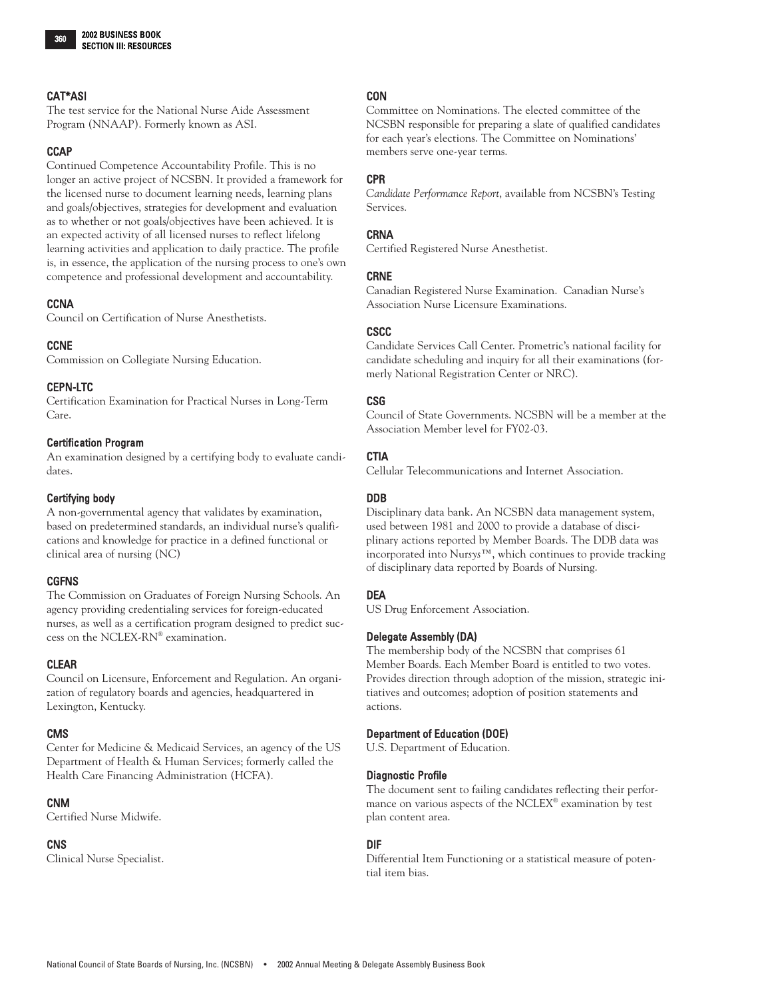## CAT\*ASI

The test service for the National Nurse Aide Assessment Program (NNAAP). Formerly known as ASI.

## **CCAP**

Continued Competence Accountability Profile. This is no longer an active project of NCSBN. It provided a framework for the licensed nurse to document learning needs, learning plans and goals/objectives, strategies for development and evaluation as to whether or not goals/objectives have been achieved. It is an expected activity of all licensed nurses to reflect lifelong learning activities and application to daily practice. The profile is, in essence, the application of the nursing process to one's own competence and professional development and accountability.

## **CCNA**

Council on Certification of Nurse Anesthetists.

## **CCNE**

Commission on Collegiate Nursing Education.

## CEPN-LTC

Certification Examination for Practical Nurses in Long-Term Care.

## Certification Program

An examination designed by a certifying body to evaluate candidates.

## Certifying body

A non-governmental agency that validates by examination, based on predetermined standards, an individual nurse's qualifications and knowledge for practice in a defined functional or clinical area of nursing (NC)

## CGFNS

The Commission on Graduates of Foreign Nursing Schools. An agency providing credentialing services for foreign-educated nurses, as well as a certification program designed to predict success on the NCLEX-RN® examination.

## CLEAR

Council on Licensure, Enforcement and Regulation. An organization of regulatory boards and agencies, headquartered in Lexington, Kentucky.

## CMS

Center for Medicine & Medicaid Services, an agency of the US Department of Health & Human Services; formerly called the Health Care Financing Administration (HCFA).

## CNM

Certified Nurse Midwife.

## **CNS**

Clinical Nurse Specialist.

## **CON**

Committee on Nominations. The elected committee of the NCSBN responsible for preparing a slate of qualified candidates for each year's elections. The Committee on Nominations' members serve one-year terms.

## CPR

*Candidate Performance Report*, available from NCSBN's Testing Services.

## CRNA

Certified Registered Nurse Anesthetist.

## CRNE

Canadian Registered Nurse Examination. Canadian Nurse's Association Nurse Licensure Examinations.

## **CSCC**

Candidate Services Call Center. Prometric's national facility for candidate scheduling and inquiry for all their examinations (formerly National Registration Center or NRC).

## CSG

Council of State Governments. NCSBN will be a member at the Association Member level for FY02-03.

## **CTIA**

Cellular Telecommunications and Internet Association.

## DDB

Disciplinary data bank. An NCSBN data management system, used between 1981 and 2000 to provide a database of disciplinary actions reported by Member Boards. The DDB data was incorporated into Nur*sys*™, which continues to provide tracking of disciplinary data reported by Boards of Nursing.

## DEA

US Drug Enforcement Association.

## Delegate Assembly (DA)

The membership body of the NCSBN that comprises 61 Member Boards. Each Member Board is entitled to two votes. Provides direction through adoption of the mission, strategic initiatives and outcomes; adoption of position statements and actions.

## Department of Education (DOE)

U.S. Department of Education.

## Diagnostic Profile

The document sent to failing candidates reflecting their performance on various aspects of the NCLEX® examination by test plan content area.

## DIF

Differential Item Functioning or a statistical measure of potential item bias.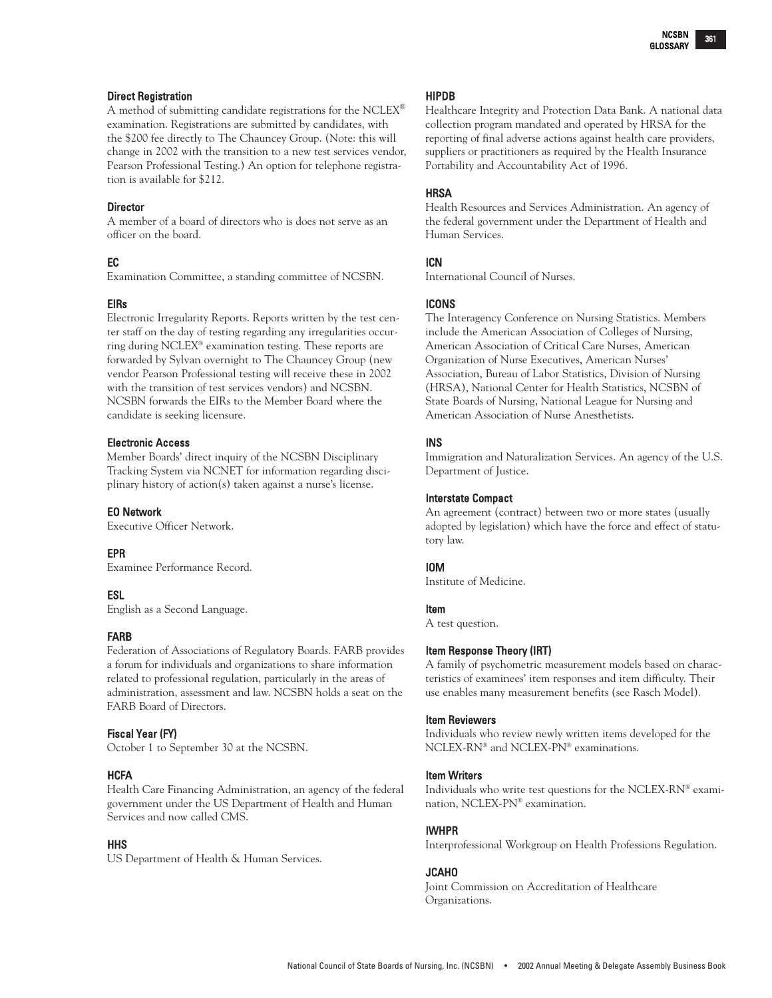#### Direct Registration

A method of submitting candidate registrations for the NCLEX® examination. Registrations are submitted by candidates, with the \$200 fee directly to The Chauncey Group. (Note: this will change in 2002 with the transition to a new test services vendor, Pearson Professional Testing.) An option for telephone registration is available for \$212.

#### **Director**

A member of a board of directors who is does not serve as an officer on the board.

## EC

Examination Committee, a standing committee of NCSBN.

## EIRs

Electronic Irregularity Reports. Reports written by the test center staff on the day of testing regarding any irregularities occurring during NCLEX® examination testing. These reports are forwarded by Sylvan overnight to The Chauncey Group (new vendor Pearson Professional testing will receive these in 2002 with the transition of test services vendors) and NCSBN. NCSBN forwards the EIRs to the Member Board where the candidate is seeking licensure.

## Electronic Access

Member Boards' direct inquiry of the NCSBN Disciplinary Tracking System via NCNET for information regarding disciplinary history of action(s) taken against a nurse's license.

## EO Network

Executive Officer Network.

## EPR

Examinee Performance Record.

## ESL

English as a Second Language.

## FARB

Federation of Associations of Regulatory Boards. FARB provides a forum for individuals and organizations to share information related to professional regulation, particularly in the areas of administration, assessment and law. NCSBN holds a seat on the FARB Board of Directors.

## Fiscal Year (FY)

October 1 to September 30 at the NCSBN.

## **HCFA**

Health Care Financing Administration, an agency of the federal government under the US Department of Health and Human Services and now called CMS.

## **HHS**

US Department of Health & Human Services.

#### HIPDB

Healthcare Integrity and Protection Data Bank. A national data collection program mandated and operated by HRSA for the reporting of final adverse actions against health care providers, suppliers or practitioners as required by the Health Insurance Portability and Accountability Act of 1996.

## **HRSA**

Health Resources and Services Administration. An agency of the federal government under the Department of Health and Human Services.

## ICN

International Council of Nurses.

## ICONS

The Interagency Conference on Nursing Statistics. Members include the American Association of Colleges of Nursing, American Association of Critical Care Nurses, American Organization of Nurse Executives, American Nurses' Association, Bureau of Labor Statistics, Division of Nursing (HRSA), National Center for Health Statistics, NCSBN of State Boards of Nursing, National League for Nursing and American Association of Nurse Anesthetists.

## INS

Immigration and Naturalization Services. An agency of the U.S. Department of Justice.

#### Interstate Compact

An agreement (contract) between two or more states (usually adopted by legislation) which have the force and effect of statutory law.

## IOM

Institute of Medicine.

## Item

A test question.

## Item Response Theory (IRT)

A family of psychometric measurement models based on characteristics of examinees' item responses and item difficulty. Their use enables many measurement benefits (see Rasch Model).

#### Item Reviewers

Individuals who review newly written items developed for the NCLEX-RN® and NCLEX-PN® examinations.

#### Item Writers

Individuals who write test questions for the NCLEX-RN® examination, NCLEX-PN® examination.

#### IWHPR

Interprofessional Workgroup on Health Professions Regulation.

## JCAHO

Joint Commission on Accreditation of Healthcare Organizations.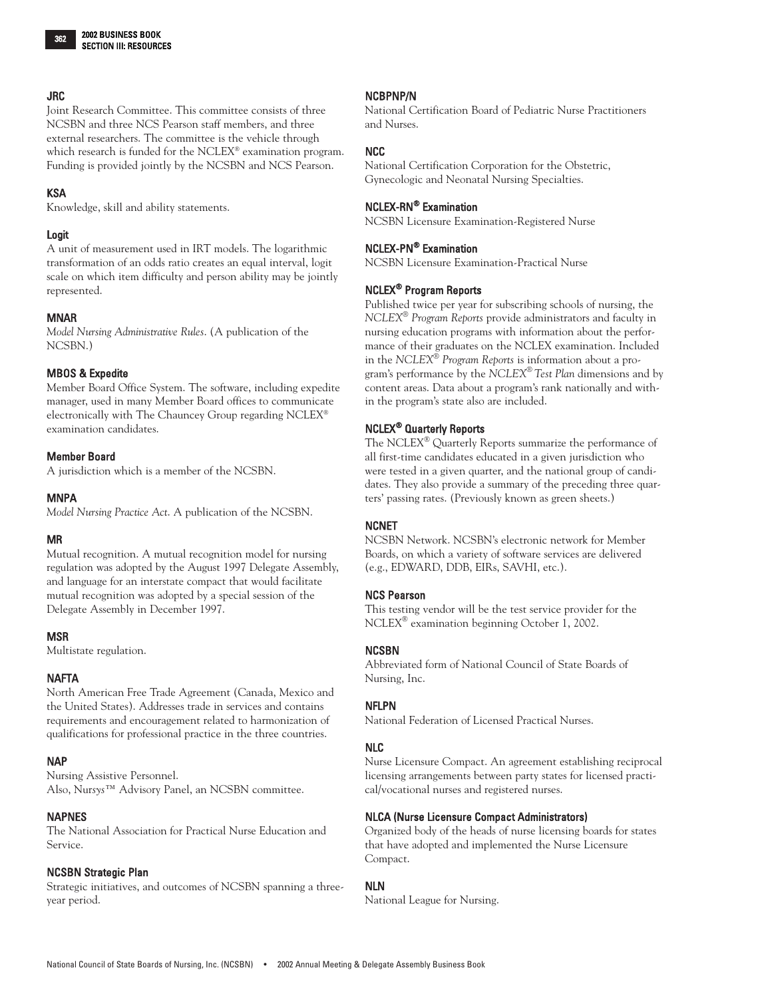## JRC

Joint Research Committee. This committee consists of three NCSBN and three NCS Pearson staff members, and three external researchers. The committee is the vehicle through which research is funded for the NCLEX® examination program. Funding is provided jointly by the NCSBN and NCS Pearson.

#### KSA

Knowledge, skill and ability statements.

#### Logit

A unit of measurement used in IRT models. The logarithmic transformation of an odds ratio creates an equal interval, logit scale on which item difficulty and person ability may be jointly represented.

#### MNAR

*Model Nursing Administrative Rules*. (A publication of the NCSBN.)

#### MBOS & Expedite

Member Board Office System. The software, including expedite manager, used in many Member Board offices to communicate electronically with The Chauncey Group regarding NCLEX® examination candidates.

#### Member Board

A jurisdiction which is a member of the NCSBN.

#### MNPA

*Model Nursing Practice Act*. A publication of the NCSBN.

## MR

Mutual recognition. A mutual recognition model for nursing regulation was adopted by the August 1997 Delegate Assembly, and language for an interstate compact that would facilitate mutual recognition was adopted by a special session of the Delegate Assembly in December 1997.

#### **MSR**

Multistate regulation.

#### NAFTA

North American Free Trade Agreement (Canada, Mexico and the United States). Addresses trade in services and contains requirements and encouragement related to harmonization of qualifications for professional practice in the three countries.

#### NAP

Nursing Assistive Personnel. Also, Nur*sys*™ Advisory Panel, an NCSBN committee.

#### NAPNES

The National Association for Practical Nurse Education and Service.

## NCSBN Strategic Plan

Strategic initiatives, and outcomes of NCSBN spanning a threeyear period.

#### NCBPNP/N

National Certification Board of Pediatric Nurse Practitioners and Nurses.

## NCC

National Certification Corporation for the Obstetric, Gynecologic and Neonatal Nursing Specialties.

#### NCLEX-RN® Examination

NCSBN Licensure Examination-Registered Nurse

## NCLEX-PN® Examination

NCSBN Licensure Examination-Practical Nurse

## NCLEX® Program Reports

Published twice per year for subscribing schools of nursing, the *NCLEX® Program Reports* provide administrators and faculty in nursing education programs with information about the performance of their graduates on the NCLEX examination. Included in the *NCLEX® Program Reports* is information about a program's performance by the *NCLEX® Test Plan* dimensions and by content areas. Data about a program's rank nationally and within the program's state also are included.

## NCLEX® Quarterly Reports

The NCLEX® Quarterly Reports summarize the performance of all first-time candidates educated in a given jurisdiction who were tested in a given quarter, and the national group of candidates. They also provide a summary of the preceding three quarters' passing rates. (Previously known as green sheets.)

#### NCNET

NCSBN Network. NCSBN's electronic network for Member Boards, on which a variety of software services are delivered (e.g., EDWARD, DDB, EIRs, SAVHI, etc.).

## NCS Pearson

This testing vendor will be the test service provider for the NCLEX® examination beginning October 1, 2002.

#### NCSBN

Abbreviated form of National Council of State Boards of Nursing, Inc.

#### NFLPN

National Federation of Licensed Practical Nurses.

## NLC

Nurse Licensure Compact. An agreement establishing reciprocal licensing arrangements between party states for licensed practical/vocational nurses and registered nurses.

## NLCA (Nurse Licensure Compact Administrators)

Organized body of the heads of nurse licensing boards for states that have adopted and implemented the Nurse Licensure Compact.

#### NLN

National League for Nursing.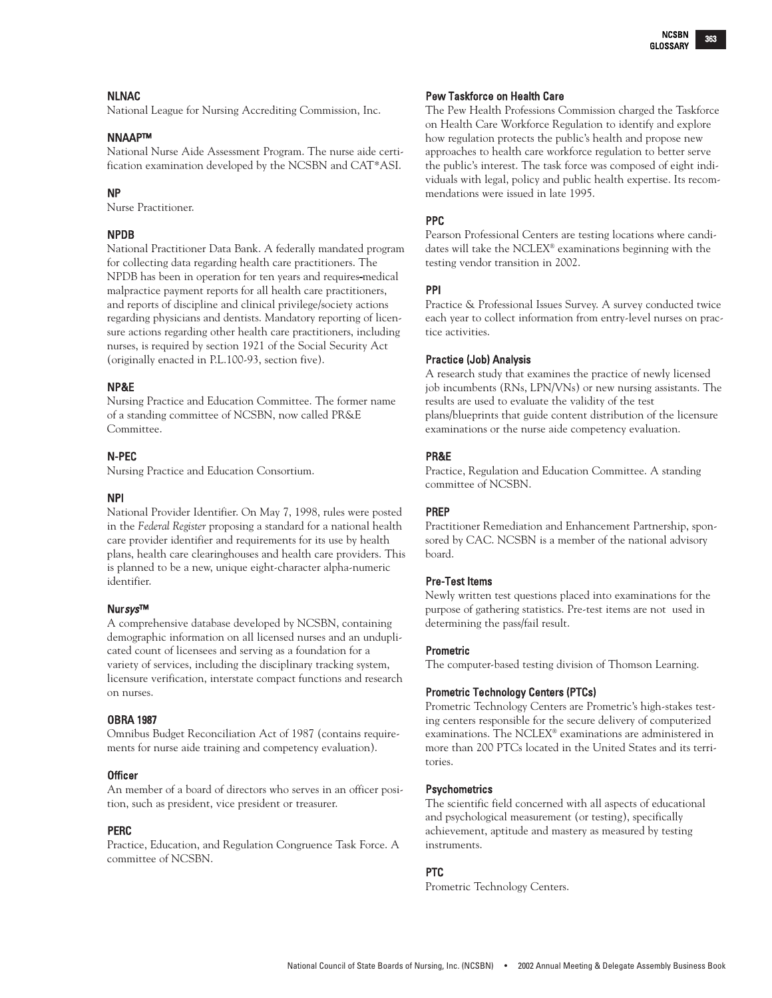## NLNAC

National League for Nursing Accrediting Commission, Inc.

## NNAAP™

National Nurse Aide Assessment Program. The nurse aide certification examination developed by the NCSBN and CAT\*ASI.

## NP

Nurse Practitioner.

## NPDB

National Practitioner Data Bank. A federally mandated program for collecting data regarding health care practitioners. The NPDB has been in operation for ten years and requires-medical malpractice payment reports for all health care practitioners, and reports of discipline and clinical privilege/society actions regarding physicians and dentists. Mandatory reporting of licensure actions regarding other health care practitioners, including nurses, is required by section 1921 of the Social Security Act (originally enacted in P.L.100-93, section five).

## NP&E

Nursing Practice and Education Committee. The former name of a standing committee of NCSBN, now called PR&E Committee.

## N-PEC

Nursing Practice and Education Consortium.

## NPI

National Provider Identifier. On May 7, 1998, rules were posted in the *Federal Register* proposing a standard for a national health care provider identifier and requirements for its use by health plans, health care clearinghouses and health care providers. This is planned to be a new, unique eight-character alpha-numeric identifier.

## Nursys™

A comprehensive database developed by NCSBN, containing demographic information on all licensed nurses and an unduplicated count of licensees and serving as a foundation for a variety of services, including the disciplinary tracking system, licensure verification, interstate compact functions and research on nurses.

## OBRA 1987

Omnibus Budget Reconciliation Act of 1987 (contains requirements for nurse aide training and competency evaluation).

## **Officer**

An member of a board of directors who serves in an officer position, such as president, vice president or treasurer.

## PERC

Practice, Education, and Regulation Congruence Task Force. A committee of NCSBN.

## Pew Taskforce on Health Care

The Pew Health Professions Commission charged the Taskforce on Health Care Workforce Regulation to identify and explore how regulation protects the public's health and propose new approaches to health care workforce regulation to better serve the public's interest. The task force was composed of eight individuals with legal, policy and public health expertise. Its recommendations were issued in late 1995.

## PPC

Pearson Professional Centers are testing locations where candidates will take the NCLEX® examinations beginning with the testing vendor transition in 2002.

## PPI

Practice & Professional Issues Survey. A survey conducted twice each year to collect information from entry-level nurses on practice activities.

## Practice (Job) Analysis

A research study that examines the practice of newly licensed job incumbents (RNs, LPN/VNs) or new nursing assistants. The results are used to evaluate the validity of the test plans/blueprints that guide content distribution of the licensure examinations or the nurse aide competency evaluation.

## PR&E

Practice, Regulation and Education Committee. A standing committee of NCSBN.

## PREP

Practitioner Remediation and Enhancement Partnership, sponsored by CAC. NCSBN is a member of the national advisory board.

## Pre-Test Items

Newly written test questions placed into examinations for the purpose of gathering statistics. Pre-test items are not used in determining the pass/fail result.

## Prometric

The computer-based testing division of Thomson Learning.

## Prometric Technology Centers (PTCs)

Prometric Technology Centers are Prometric's high-stakes testing centers responsible for the secure delivery of computerized examinations. The NCLEX® examinations are administered in more than 200 PTCs located in the United States and its territories.

## **Psychometrics**

The scientific field concerned with all aspects of educational and psychological measurement (or testing), specifically achievement, aptitude and mastery as measured by testing instruments.

## PTC

Prometric Technology Centers.